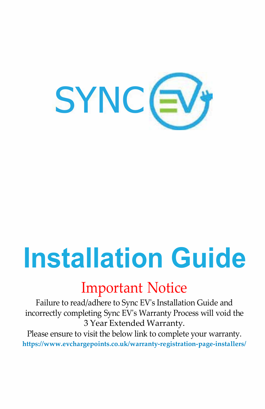

# **Installation Guide**

# Important Notice

Failure to read/adhere to Sync EV's Installation Guide and incorrectly completing Sync EV's Warranty Process will void the 3 Year Extended Warranty.

Please ensure to visit the below link to complete your warranty. **[https://www.evchargepoints.co.uk/warranty-registration-page-installers/](http://www.evchargepoints.co.uk/warranty-registration-page-installers/)**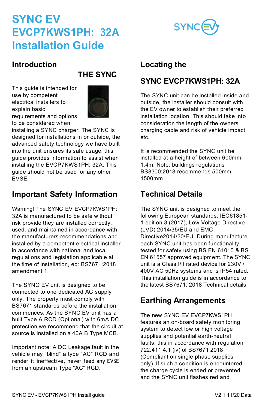

#### **Introduction**

## **THE SYNC**

This guide is intended for use by competent electrical installers to explain basic requirements and options to be considered when



installing a SYNC charger. The SYNC is designed for installations in or outside, the advanced safety technology we have built into the unit ensures its safe usage, this guide provides information to assist when installing the EVCP7KWS1PH: 32A. This guide should not be used for any other EVSE.

## **Important Safety Information**

Warning! The SYNC EV EVCP7KWS1PH: 32A is manufactured to be safe without risk provide they are installed correctly, used, and maintained in accordance with the manufacturers recommendations and installed by a competent electrical installer in accordance with national and local regulations and legislation applicable at the time of installation, eg: BS7671:2018 amendment 1.

The SYNC EV unit is designed to be connected to one dedicated AC supply only. The property must comply with BS7671 standards before the installation commences. As the SYNC EV unit has a built Type A RCD (Optional) with 6mA DC protection we recommend that the circuit at source is installed on a 40A B Type MCB.

Important note: A DC Leakage fault in the vehicle may "blind" a type "AC" RCD and render it ineffective, never feed any EVSE from an upstream Type "AC" RCD.

#### **Locating the**

#### **SYNC EVCP7KWS1PH: 32A**

The SYNC unit can be installed inside and outside, the installer should consult with the EV owner to establish their preferred installation location. This should take into consideration the length of the owners charging cable and risk of vehicle impact etc.

It is recommended the SYNC unit be installed at a height of between 600mm-1.4m. Note: buildings regulations BS8300:2018 recommends 500mm-1500mm.

## **Technical Details**

The SYNC unit is designed to meet the following European standards: IEC61851- 1 edition 3 (2017), Low Voltage Directive (LVD) 2014/35/EU and EMC Directive2014/30/EU. During manufacture each SYNC unit has been functionality tested for safety using BS EN 61010 & BS EN 61557 approved equipment. The SYNC unit is a Class I/II rated device for 230V / 400V AC 50Hz systems and is IP54 rated. This installation guide is in accordance to the latest BS7671: 2018 Technical details.

## **Earthing Arrangements**

The new SYNC EV EVCP7KWS1PH features an on-board safety monitoring system to detect low or high voltage supplies and potential earth-neutral faults, this in accordance with regulation 722.411.4.1 (iv) of BS7671 2018 (Compliant on single phase supplies only). If such a condition is encountered the charge cycle is ended or prevented and the SYNC unit flashes red and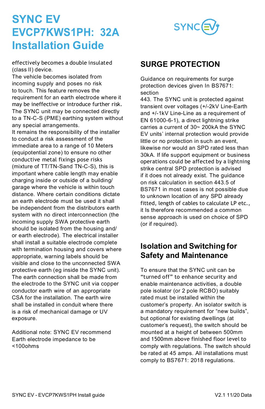

effectively becomes a double insulated (class II) device.

The vehicle becomes isolated from incoming supply and poses no risk to touch. This feature removes the requirement for an earth electrode where it may be ineffective or introduce further risk. The SYNC unit may be connected directly to a TN-C-S (PME) earthing system without any special arrangements.

It remains the responsibility of the installer to conduct a risk assessment of the immediate area to a range of 10 Meters (equipotential zone) to ensure no other conductive metal fixings pose risks (mixture of TT/TN-Sand TN-C-S), this is important where cable length may enable charging inside or outside of a building/ garage where the vehicle is within touch distance. Where certain conditions dictate an earth electrode must be used it shall be independent from the distributors earth system with no direct interconnection (the incoming supply SWA protective earth should be isolated from the housing and/ or earth electrode). The electrical installer shall install a suitable electrode complete with termination housing and covers where appropriate, warning labels should be visible and close to the unconnected SWA protective earth (eg inside the SYNC unit). The earth connection shall be made from the electrode to the SYNC unit via copper conductor earth wire of an appropriate CSA for the installation. The earth wire shall be installed in conduit where there is a risk of mechanical damage or UV exposure.

Additional note: SYNC EV recommend Earth electrode impedance to be  $<$ 100 $o$ hms

## **SURGE PROTECTION**

Guidance on requirements for surge protection devices given In BS7671: section

443. The SYNC unit is protected against transient over voltages (+/-2kV Line-Earth and +/-1kV Line-Line as a requirement of EN 61000-6-1), a direct lightning strike carries a current of 30~ 200kA the SYNC EV units' internal protection would provide little or no protection in such an event. likewise nor would an SPD rated less than 30kA. If life support equipment or business operations could be affected by a lightning strike central SPD protection is advised if it does not already exist. The guidance on risk calculation in section 443.5 of BS7671 in most cases is not possible due to unknown location of any SPD already fitted, length of cables to calculate LP etc., it Is therefore recommended a common sense approach is used on choice of SPD (or if required).

#### **Isolation and Switching for Safety and Maintenance**

To ensure that the SYNC unit can be "turned off" to enhance security and enable maintenance activities, a double pole isolator (or 2 pole RCBO) suitably rated must be installed within the customer's property. An isolator switch is a mandatory requirement for "new builds", but optional for existing dwellings (at customer's request), the switch should be mounted at a height of between 500mm and 1500mm above finished floor level to comply with regulations. The switch should be rated at 45 amps. All installations must comply to BS7671: 2018 regulations.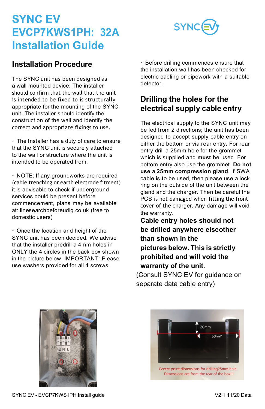

#### **Installation Procedure**

The SYNC unit has been designed as a wall mounted device. The installer should confirm that the wall that the unit is intended to be fixed to is structurally appropriate for the mounting of the SYNC unit. The installer should identify the construction of the wall and identify the correct and appropriate fixings to use.

 The Installer has a duty of care to ensure that the SYNC unit is securely attached to the wall or structure where the unit is intended to be operated from.

 NOTE: If any groundworks are required (cable trenching or earth electrode fitment) it is advisable to check if underground services could be present before commencement, plans may be available at: linesearchbeforeudig.co.uk (free to domestic users)

 Once the location and height of the SYNC unit has been decided. We advise that the installer predrill a 4mm holes in ONLY the 4 circles in the back box shown in the picture below. IMPORTANT: Please use washers provided for all 4 screws.

 Before drilling commences ensure that the installation wall has been checked for electric cabling or pipework with a suitable detector.

#### **Drilling the holes for the electrical supply cable entry**

The electrical supply to the SYNC unit may be fed from 2 directions; the unit has been designed to accept supply cable entry on either the bottom or via rear entry. For rear entry drill a 25mm hole for the grommet which is supplied and **must** be used. For bottom entry also use the grommet. **Do not use a 25mm compression gland**. If SWA cable is to be used, then please use a lock ring on the outside of the unit between the gland and the charger. Then be careful the PCB is not damaged when fitting the front cover of the charger. Any damage will void the warranty.

**Cable entry holes should not be drilled anywhere elseother than shown in the pictures below. This is strictly prohibited and will void the warranty of the unit.** 

(Consult SYNC EV for guidance on separate data cable entry)





Centre point dimensions for drilling25mm hole. Dimensions are from the rear of the box!!!

SYNC EV - EVCP7KWS1PH Install guide V2.1 11/20 Data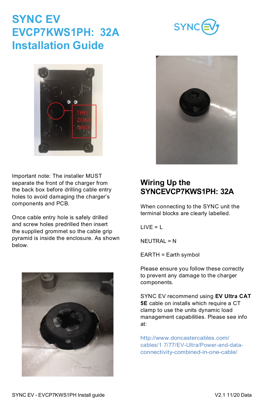#### SYNC EV - EVCP7KWS1PH Install guide V2.1 11/20 Data

## **SYNC EV EVCP7KWS1PH: 32A Installation Guide**

Important note: The installer MUST separate the front of the charger from the back box before drilling cable entry holes to avoid damaging the charger's components and PCB.

Once cable entry hole is safely drilled and screw holes predrilled then insert the supplied grommet so the cable grip pyramid is inside the enclosure. As shown below.

> SYNC EV recommend using **EV Ultra CAT 5E** cable on installs which require a CT clamp to use the units dynamic load management capabilities. Please see info

<http://www.doncastercables.com/> cables/1 7/77/EV-Ultra/Power-and-dataconnectivity-combined-in-one-cable/

When connecting to the SYNC unit the terminal blocks are clearly labelled.

 $LIVF = L$ 

at:

NEUTRAL = N

EARTH = Earth symbol

Please ensure you follow these correctly to prevent any damage to the charger components.







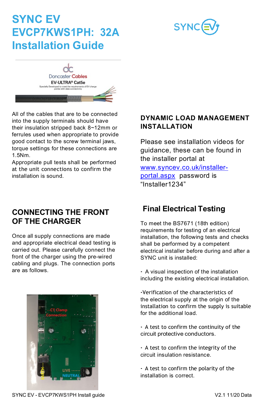



All of the cables that are to be connected into the supply terminals should have their insulation stripped back 8~12mm or ferrules used when appropriate to provide good contact to the screw terminal jaws, torque settings for these connections are 1.5Nm.

Appropriate pull tests shall be performed at the unit connections to confirm the installation is sound.

#### **CONNECTING THE FRONT OF THE CHARGER**

Once all supply connections are made and appropriate electrical dead testing is carried out. Please carefully connect the front of the charger using the pre-wired cabling and plugs. The connection ports are as follows.



#### **DYNAMIC LOAD MANAGEMENT INSTALLATION**

Please see installation videos for guidance, these can be found in the installer portal at

[www.syncev.co.uk/installer](http://www.syncev.co.uk/installer-portal.aspx)[portal.aspx](http://www.syncev.co.uk/installer-portal.aspx) password is .<br>"Installer1234"

## **Final Electrical Testing**

To meet the BS7671 (18th edition) requirements for testing of an electrical installation, the following tests and checks shall be performed by a competent electrical installer before during and after a SYNC unit is installed:

 A visual inspection of the installation including the existing electrical installation.

Verification of the characteristics of the electrical supply at the origin of the installation to confirm the supply is suitable for the additional load.

- A test to confirm the continuity of the circuit protective conductors.
- A test to confirm the integrity of the circuit insulation resistance.
- A test to confirm the polarity of the installation is correct.

SYNC EV - EVCP7KWS1PH Install guide V2.1 11/20 Data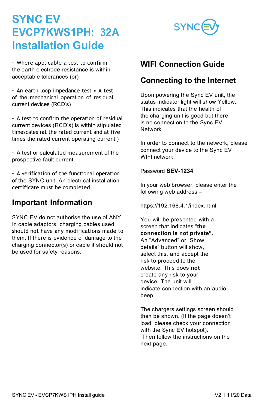

 Where applicable a test to confirm the earth electrode resistance is within acceptable tolerances (or)

 An earth loop impedance test • A test of the mechanical operation of residual current devices (RCD's)

 A test to confirm the operation of residual current devices (RCD's) is within stipulated timescales (at the rated current and at five times the rated current operating current.)

 A test or calculated measurement of the prospective fault current.

 A verification of the functional operation of the SYNC unit. An electrical installation certificate must be completed.

#### **Important Information**

SYNC EV do not authorise the use of ANY In cable adaptors, charging cables used should not have any modifications made to them. If there is evidence of damage to the charging connector(s) or cable it should not be used for safety reasons.

#### **WIFI Connection Guide**

#### **Connecting to the Internet**

Upon powering the Sync EV unit, the status indicator light will show Yellow. This indicates that the health of the charging unit is good but there is no connection to the Sync EV Network.

In order to connect to the network, please connect your device to the Sync EV WIFI network

Password **SEV-1234**

In your web browser, please enter the following web address –

https://192.168.4.1/index.html

You will be presented with a screen that indicates "**the connection is not private".**  An "Advanced" or "Show details" button will show, select this, and accept the risk to proceed to the website. This does **not** create any risk to your device. The unit will indicate connection with an audio beep.

The chargers settings screen should then be shown. (If the page doesn't load, please check your connection with the Sync EV hotspot). Then follow the instructions on the next page.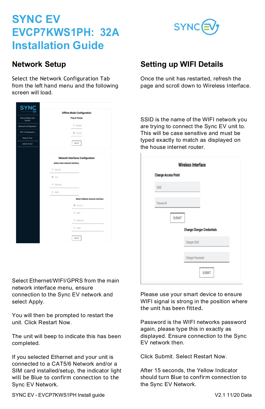

#### **Network Setup**

Select the Network Configuration Tab from the left hand menu and the following screen will load.

|                              | <b>Offline Mode Configuration</b>       |
|------------------------------|-----------------------------------------|
| Device Status and<br>Control | Plug & Charge                           |
| Network Configuration        | O Enable<br>$\sim$                      |
| NFC Configuration            | <b>B</b> Disable                        |
| Date & Time                  |                                         |
| Admin Panel                  | <b>APPLY</b>                            |
|                              | <b>Network Interfaces Configuration</b> |
|                              | Select main network interface           |
|                              | C Not Set                               |
|                              | <b>B</b> WF                             |
|                              | O Ethernet                              |
|                              | 0.084                                   |
|                              | Select fallback network interface       |
|                              | · Not Set                               |
|                              | O WFI                                   |
|                              | O Ethernet                              |
|                              | O GSM                                   |
|                              | APPLY                                   |

Select Ethernet/WIFI/GPRS from the main network interface menu, ensure connection to the Sync EV network and select Apply.

You will then be prompted to restart the unit. Click Restart Now.

The unit will beep to indicate this has been completed.

If you selected Ethernet and your unit is connected to a CAT5/6 Network and/or a SIM card installed/setup, the indicator light will be Blue to confirm connection to the Sync EV Network.

## **Setting up WIFI Details**

Once the unit has restarted, refresh the page and scroll down to Wireless Interface.

SSID is the name of the WIFI network you are trying to connect the Sync EV unit to. This will be case sensitive and must be typed exactly to match as displayed on the house internet router.

| <b>Change Access Point</b> |                                   |
|----------------------------|-----------------------------------|
| SSID                       |                                   |
|                            |                                   |
| Password                   |                                   |
|                            |                                   |
|                            | SUBMIT                            |
|                            | <b>Change Charger Credentials</b> |
|                            |                                   |
|                            | Charger SSID                      |
|                            | Charger Password                  |

Please use your smart device to ensure WIFI signal is strong in the position where the unit has been fitted.

Password is the WIFI networks password again, please type this in exactly as displayed. Ensure connection to the Sync EV network then.

Click Submit. Select Restart Now.

After 15 seconds, the Yellow Indicator should turn Blue to confirm connection to the Sync EV Network.

SYNC EV - EVCP7KWS1PH Install guide V2.1 11/20 Data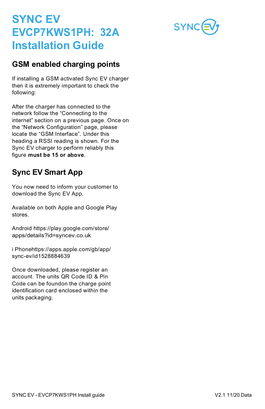

#### **GSM enabled charging points**

If installing a GSM activated Sync EV charger then it is extremely important to check the following:

After the charger has connected to the network follow the "Connecting to the internet" section on a previous page. Once on the "Network Configuration" page, please locate the "GSM Interface". Under this heading a RSSI reading is shown. For the Sync EV charger to perform reliably this figure **must be 15 or above**.

## **Sync EV Smart App**

You now need to inform your customer to download the Sync EV App.

Available on both Apple and Google Play stores.

Android https://play.google.com/store/ apps/details?id=syncev.co.uk

i Phonehttps://apps.apple.com/gb/app/ sync-ev/id1528884639

Once downloaded, please register an account. The units QR Code ID & Pin Code can be foundon the charge point identification card enclosed within the units packaging.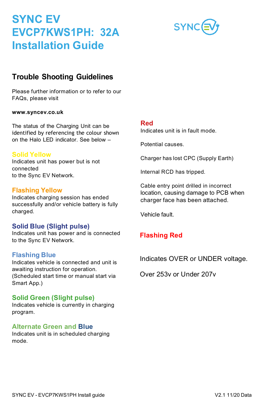## **Trouble Shooting Guidelines**

Please further information or to refer to our FAQs, please visit

#### **[www.syncev.co.uk](http://www.syncev.co.uk/)**

The status of the Charging Unit can be identified by referencing the colour shown on the Halo LED indicator. See below –

#### **Solid Yellow**

Indicates unit has power but is not connected to the Sync EV Network.

#### **Flashing Yellow**

Indicates charging session has ended successfully and/or vehicle battery is fully charged.

#### **Solid Blue (Slight pulse)**

Indicates unit has power and is connected to the Sync EV Network.

#### **Flashing Blue**

Indicates vehicle is connected and unit is awaiting instruction for operation. (Scheduled start time or manual start via Smart App.)

#### **Solid Green (Slight pulse)**

Indicates vehicle is currently in charging program.

#### **Alternate Green and Blue**

Indicates unit is in scheduled charging mode.

#### **Red**

Indicates unit is in fault mode.

Potential causes.

Charger has lost CPC (Supply Earth)

Internal RCD has tripped.

Cable entry point drilled in incorrect location, causing damage to PCB when charger face has been attached.

Vehicle fault.

#### **Flashing Red**

Indicates OVER or UNDER voltage.

Over 253v or Under 207v